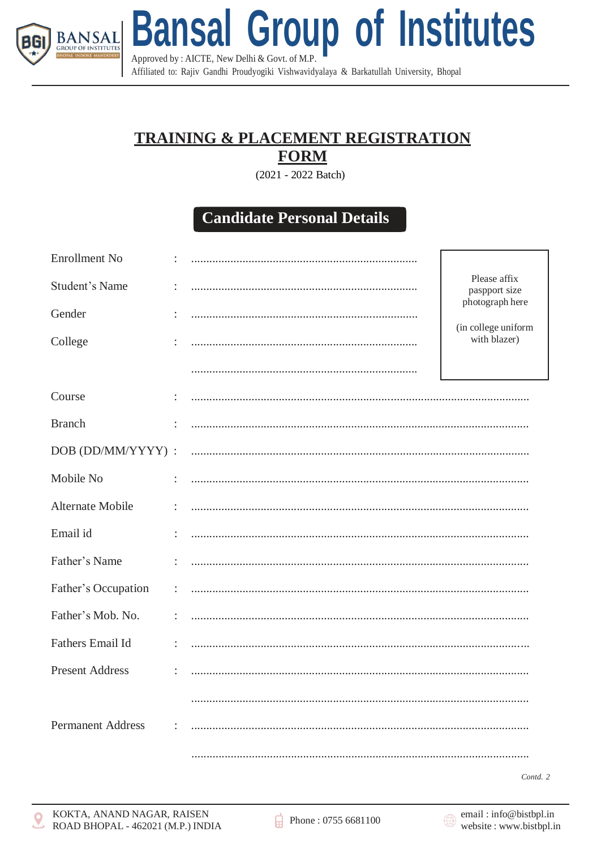

**Bansal Group of Institutes** Approved by: AICTE, New Delhi & Govt. of M.P.

Affiliated to: Rajiv Gandhi Proudyogiki Vishwavidyalaya & Barkatullah University, Bhopal

## **TRAINING & PLACEMENT REGISTRATION FORM**

(2021 - 2022 Batch)

## **Candidate Personal Details**

| <b>Enrollment No</b>     |                      |  |                                                        |  |
|--------------------------|----------------------|--|--------------------------------------------------------|--|
| <b>Student's Name</b>    |                      |  | Please affix<br>paspport size                          |  |
| Gender                   |                      |  | photograph here<br>(in college uniform<br>with blazer) |  |
| College                  |                      |  |                                                        |  |
|                          |                      |  |                                                        |  |
| Course                   | $\ddot{\phantom{a}}$ |  |                                                        |  |
| <b>Branch</b>            |                      |  |                                                        |  |
| DOB (DD/MM/YYYY) :       |                      |  |                                                        |  |
| Mobile No                | $\ddot{\phantom{a}}$ |  |                                                        |  |
| Alternate Mobile         | ÷                    |  |                                                        |  |
| Email id                 |                      |  |                                                        |  |
| Father's Name            |                      |  |                                                        |  |
| Father's Occupation      | ÷                    |  |                                                        |  |
| Father's Mob. No.        |                      |  |                                                        |  |
| Fathers Email Id         |                      |  |                                                        |  |
| <b>Present Address</b>   |                      |  |                                                        |  |
|                          |                      |  |                                                        |  |
| <b>Permanent Address</b> |                      |  |                                                        |  |
|                          |                      |  |                                                        |  |

Contd. 2